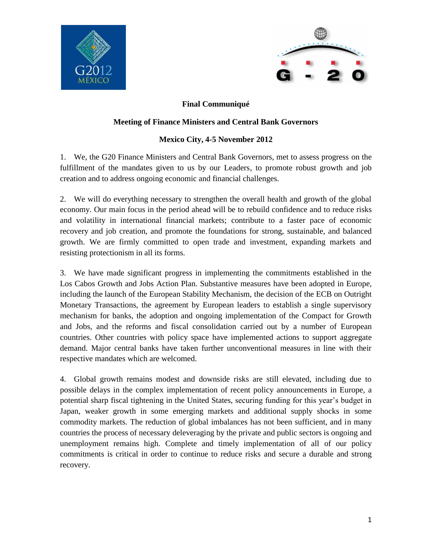



## **Final Communiqué**

## **Meeting of Finance Ministers and Central Bank Governors**

## **Mexico City, 4-5 November 2012**

1. We, the G20 Finance Ministers and Central Bank Governors, met to assess progress on the fulfillment of the mandates given to us by our Leaders, to promote robust growth and job creation and to address ongoing economic and financial challenges.

2. We will do everything necessary to strengthen the overall health and growth of the global economy. Our main focus in the period ahead will be to rebuild confidence and to reduce risks and volatility in international financial markets; contribute to a faster pace of economic recovery and job creation, and promote the foundations for strong, sustainable, and balanced growth. We are firmly committed to open trade and investment, expanding markets and resisting protectionism in all its forms.

3. We have made significant progress in implementing the commitments established in the Los Cabos Growth and Jobs Action Plan. Substantive measures have been adopted in Europe, including the launch of the European Stability Mechanism, the decision of the ECB on Outright Monetary Transactions, the agreement by European leaders to establish a single supervisory mechanism for banks, the adoption and ongoing implementation of the Compact for Growth and Jobs, and the reforms and fiscal consolidation carried out by a number of European countries. Other countries with policy space have implemented actions to support aggregate demand. Major central banks have taken further unconventional measures in line with their respective mandates which are welcomed.

4. Global growth remains modest and downside risks are still elevated, including due to possible delays in the complex implementation of recent policy announcements in Europe, a potential sharp fiscal tightening in the United States, securing funding for this year's budget in Japan, weaker growth in some emerging markets and additional supply shocks in some commodity markets. The reduction of global imbalances has not been sufficient, and in many countries the process of necessary deleveraging by the private and public sectors is ongoing and unemployment remains high. Complete and timely implementation of all of our policy commitments is critical in order to continue to reduce risks and secure a durable and strong recovery.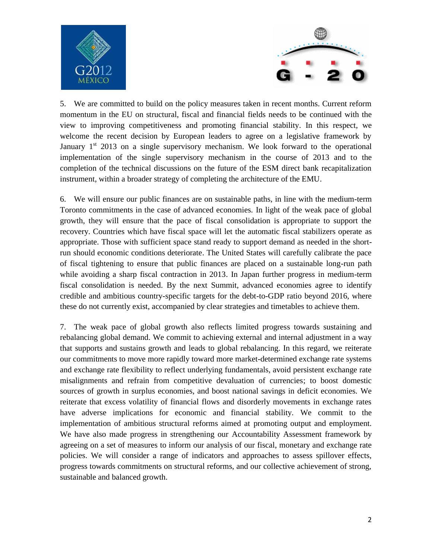



5. We are committed to build on the policy measures taken in recent months. Current reform momentum in the EU on structural, fiscal and financial fields needs to be continued with the view to improving competitiveness and promoting financial stability. In this respect, we welcome the recent decision by European leaders to agree on a legislative framework by January  $1<sup>st</sup>$  2013 on a single supervisory mechanism. We look forward to the operational implementation of the single supervisory mechanism in the course of 2013 and to the completion of the technical discussions on the future of the ESM direct bank recapitalization instrument, within a broader strategy of completing the architecture of the EMU.

6. We will ensure our public finances are on sustainable paths, in line with the medium-term Toronto commitments in the case of advanced economies. In light of the weak pace of global growth, they will ensure that the pace of fiscal consolidation is appropriate to support the recovery. Countries which have fiscal space will let the automatic fiscal stabilizers operate as appropriate. Those with sufficient space stand ready to support demand as needed in the shortrun should economic conditions deteriorate. The United States will carefully calibrate the pace of fiscal tightening to ensure that public finances are placed on a sustainable long-run path while avoiding a sharp fiscal contraction in 2013. In Japan further progress in medium-term fiscal consolidation is needed. By the next Summit, advanced economies agree to identify credible and ambitious country-specific targets for the debt-to-GDP ratio beyond 2016, where these do not currently exist, accompanied by clear strategies and timetables to achieve them.

7. The weak pace of global growth also reflects limited progress towards sustaining and rebalancing global demand. We commit to achieving external and internal adjustment in a way that supports and sustains growth and leads to global rebalancing. In this regard, we reiterate our commitments to move more rapidly toward more market-determined exchange rate systems and exchange rate flexibility to reflect underlying fundamentals, avoid persistent exchange rate misalignments and refrain from competitive devaluation of currencies; to boost domestic sources of growth in surplus economies, and boost national savings in deficit economies. We reiterate that excess volatility of financial flows and disorderly movements in exchange rates have adverse implications for economic and financial stability. We commit to the implementation of ambitious structural reforms aimed at promoting output and employment. We have also made progress in strengthening our Accountability Assessment framework by agreeing on a set of measures to inform our analysis of our fiscal, monetary and exchange rate policies. We will consider a range of indicators and approaches to assess spillover effects, progress towards commitments on structural reforms, and our collective achievement of strong, sustainable and balanced growth.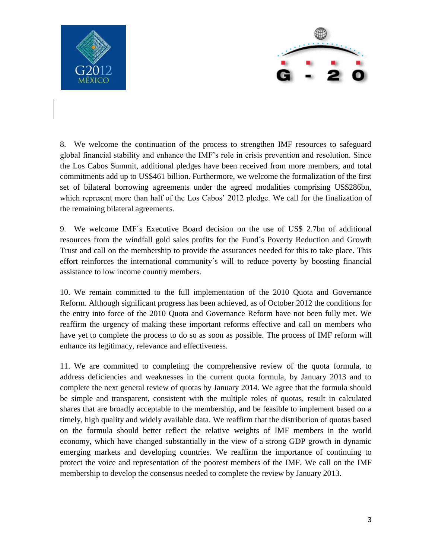



8. We welcome the continuation of the process to strengthen IMF resources to safeguard global financial stability and enhance the IMF's role in crisis prevention and resolution. Since the Los Cabos Summit, additional pledges have been received from more members, and total commitments add up to US\$461 billion. Furthermore, we welcome the formalization of the first set of bilateral borrowing agreements under the agreed modalities comprising US\$286bn, which represent more than half of the Los Cabos' 2012 pledge. We call for the finalization of the remaining bilateral agreements.

9. We welcome IMF´s Executive Board decision on the use of US\$ 2.7bn of additional resources from the windfall gold sales profits for the Fund´s Poverty Reduction and Growth Trust and call on the membership to provide the assurances needed for this to take place. This effort reinforces the international community´s will to reduce poverty by boosting financial assistance to low income country members.

10. We remain committed to the full implementation of the 2010 Quota and Governance Reform. Although significant progress has been achieved, as of October 2012 the conditions for the entry into force of the 2010 Quota and Governance Reform have not been fully met. We reaffirm the urgency of making these important reforms effective and call on members who have yet to complete the process to do so as soon as possible. The process of IMF reform will enhance its legitimacy, relevance and effectiveness.

11. We are committed to completing the comprehensive review of the quota formula, to address deficiencies and weaknesses in the current quota formula, by January 2013 and to complete the next general review of quotas by January 2014. We agree that the formula should be simple and transparent, consistent with the multiple roles of quotas, result in calculated shares that are broadly acceptable to the membership, and be feasible to implement based on a timely, high quality and widely available data. We reaffirm that the distribution of quotas based on the formula should better reflect the relative weights of IMF members in the world economy, which have changed substantially in the view of a strong GDP growth in dynamic emerging markets and developing countries. We reaffirm the importance of continuing to protect the voice and representation of the poorest members of the IMF. We call on the IMF membership to develop the consensus needed to complete the review by January 2013.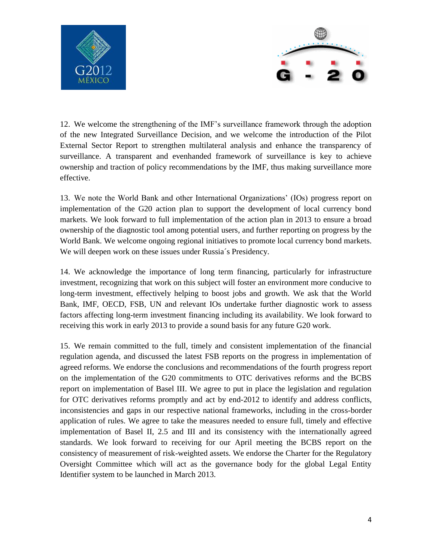



12. We welcome the strengthening of the IMF's surveillance framework through the adoption of the new Integrated Surveillance Decision, and we welcome the introduction of the Pilot External Sector Report to strengthen multilateral analysis and enhance the transparency of surveillance. A transparent and evenhanded framework of surveillance is key to achieve ownership and traction of policy recommendations by the IMF, thus making surveillance more effective.

13. We note the World Bank and other International Organizations' (IOs) progress report on implementation of the G20 action plan to support the development of local currency bond markets. We look forward to full implementation of the action plan in 2013 to ensure a broad ownership of the diagnostic tool among potential users, and further reporting on progress by the World Bank. We welcome ongoing regional initiatives to promote local currency bond markets. We will deepen work on these issues under Russia's Presidency.

14. We acknowledge the importance of long term financing, particularly for infrastructure investment, recognizing that work on this subject will foster an environment more conducive to long-term investment, effectively helping to boost jobs and growth. We ask that the World Bank, IMF, OECD, FSB, UN and relevant IOs undertake further diagnostic work to assess factors affecting long-term investment financing including its availability. We look forward to receiving this work in early 2013 to provide a sound basis for any future G20 work.

15. We remain committed to the full, timely and consistent implementation of the financial regulation agenda, and discussed the latest FSB reports on the progress in implementation of agreed reforms. We endorse the conclusions and recommendations of the fourth progress report on the implementation of the G20 commitments to OTC derivatives reforms and the BCBS report on implementation of Basel III. We agree to put in place the legislation and regulation for OTC derivatives reforms promptly and act by end-2012 to identify and address conflicts, inconsistencies and gaps in our respective national frameworks, including in the cross-border application of rules. We agree to take the measures needed to ensure full, timely and effective implementation of Basel II, 2.5 and III and its consistency with the internationally agreed standards. We look forward to receiving for our April meeting the BCBS report on the consistency of measurement of risk-weighted assets. We endorse the Charter for the Regulatory Oversight Committee which will act as the governance body for the global Legal Entity Identifier system to be launched in March 2013.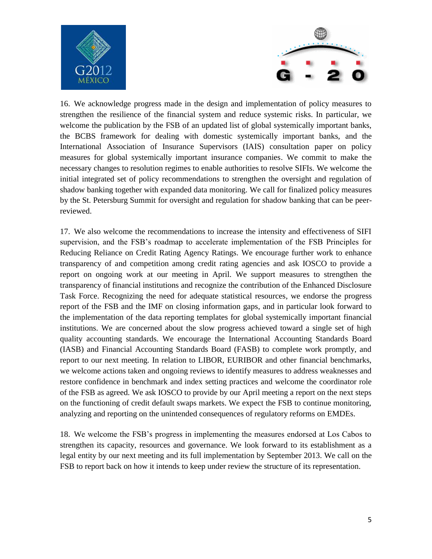



16. We acknowledge progress made in the design and implementation of policy measures to strengthen the resilience of the financial system and reduce systemic risks. In particular, we welcome the publication by the FSB of an updated list of global systemically important banks, the BCBS framework for dealing with domestic systemically important banks, and the International Association of Insurance Supervisors (IAIS) consultation paper on policy measures for global systemically important insurance companies. We commit to make the necessary changes to resolution regimes to enable authorities to resolve SIFIs. We welcome the initial integrated set of policy recommendations to strengthen the oversight and regulation of shadow banking together with expanded data monitoring. We call for finalized policy measures by the St. Petersburg Summit for oversight and regulation for shadow banking that can be peerreviewed.

17. We also welcome the recommendations to increase the intensity and effectiveness of SIFI supervision, and the FSB's roadmap to accelerate implementation of the FSB Principles for Reducing Reliance on Credit Rating Agency Ratings. We encourage further work to enhance transparency of and competition among credit rating agencies and ask IOSCO to provide a report on ongoing work at our meeting in April. We support measures to strengthen the transparency of financial institutions and recognize the contribution of the Enhanced Disclosure Task Force. Recognizing the need for adequate statistical resources, we endorse the progress report of the FSB and the IMF on closing information gaps, and in particular look forward to the implementation of the data reporting templates for global systemically important financial institutions. We are concerned about the slow progress achieved toward a single set of high quality accounting standards. We encourage the International Accounting Standards Board (IASB) and Financial Accounting Standards Board (FASB) to complete work promptly, and report to our next meeting. In relation to LIBOR, EURIBOR and other financial benchmarks, we welcome actions taken and ongoing reviews to identify measures to address weaknesses and restore confidence in benchmark and index setting practices and welcome the coordinator role of the FSB as agreed. We ask IOSCO to provide by our April meeting a report on the next steps on the functioning of credit default swaps markets. We expect the FSB to continue monitoring, analyzing and reporting on the unintended consequences of regulatory reforms on EMDEs.

18. We welcome the FSB's progress in implementing the measures endorsed at Los Cabos to strengthen its capacity, resources and governance. We look forward to its establishment as a legal entity by our next meeting and its full implementation by September 2013. We call on the FSB to report back on how it intends to keep under review the structure of its representation.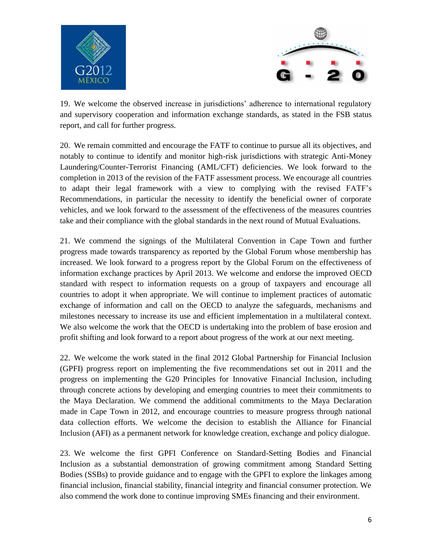



19. We welcome the observed increase in jurisdictions' adherence to international regulatory and supervisory cooperation and information exchange standards, as stated in the FSB status report, and call for further progress.

20. We remain committed and encourage the FATF to continue to pursue all its objectives, and notably to continue to identify and monitor high-risk jurisdictions with strategic Anti-Money Laundering/Counter-Terrorist Financing (AML/CFT) deficiencies. We look forward to the completion in 2013 of the revision of the FATF assessment process. We encourage all countries to adapt their legal framework with a view to complying with the revised FATF's Recommendations, in particular the necessity to identify the beneficial owner of corporate vehicles, and we look forward to the assessment of the effectiveness of the measures countries take and their compliance with the global standards in the next round of Mutual Evaluations.

21. We commend the signings of the Multilateral Convention in Cape Town and further progress made towards transparency as reported by the Global Forum whose membership has increased. We look forward to a progress report by the Global Forum on the effectiveness of information exchange practices by April 2013. We welcome and endorse the improved OECD standard with respect to information requests on a group of taxpayers and encourage all countries to adopt it when appropriate. We will continue to implement practices of automatic exchange of information and call on the OECD to analyze the safeguards, mechanisms and milestones necessary to increase its use and efficient implementation in a multilateral context. We also welcome the work that the OECD is undertaking into the problem of base erosion and profit shifting and look forward to a report about progress of the work at our next meeting.

22. We welcome the work stated in the final 2012 Global Partnership for Financial Inclusion (GPFI) progress report on implementing the five recommendations set out in 2011 and the progress on implementing the G20 Principles for Innovative Financial Inclusion, including through concrete actions by developing and emerging countries to meet their commitments to the Maya Declaration. We commend the additional commitments to the Maya Declaration made in Cape Town in 2012, and encourage countries to measure progress through national data collection efforts. We welcome the decision to establish the Alliance for Financial Inclusion (AFI) as a permanent network for knowledge creation, exchange and policy dialogue.

23. We welcome the first GPFI Conference on Standard-Setting Bodies and Financial Inclusion as a substantial demonstration of growing commitment among Standard Setting Bodies (SSBs) to provide guidance and to engage with the GPFI to explore the linkages among financial inclusion, financial stability, financial integrity and financial consumer protection. We also commend the work done to continue improving SMEs financing and their environment.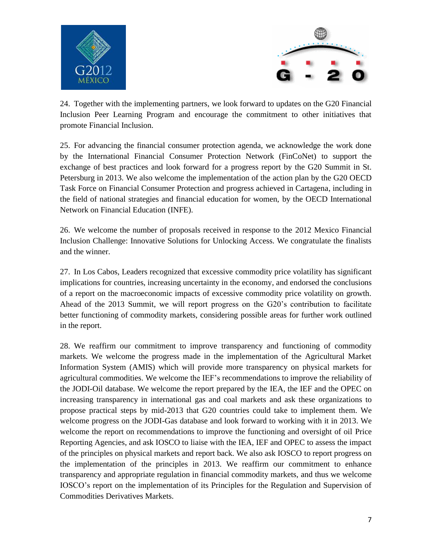



24. Together with the implementing partners, we look forward to updates on the G20 Financial Inclusion Peer Learning Program and encourage the commitment to other initiatives that promote Financial Inclusion.

25. For advancing the financial consumer protection agenda, we acknowledge the work done by the International Financial Consumer Protection Network (FinCoNet) to support the exchange of best practices and look forward for a progress report by the G20 Summit in St. Petersburg in 2013. We also welcome the implementation of the action plan by the G20 OECD Task Force on Financial Consumer Protection and progress achieved in Cartagena, including in the field of national strategies and financial education for women, by the OECD International Network on Financial Education (INFE).

26. We welcome the number of proposals received in response to the 2012 Mexico Financial Inclusion Challenge: Innovative Solutions for Unlocking Access. We congratulate the finalists and the winner.

27. In Los Cabos, Leaders recognized that excessive commodity price volatility has significant implications for countries, increasing uncertainty in the economy, and endorsed the conclusions of a report on the macroeconomic impacts of excessive commodity price volatility on growth. Ahead of the 2013 Summit, we will report progress on the G20's contribution to facilitate better functioning of commodity markets, considering possible areas for further work outlined in the report.

28. We reaffirm our commitment to improve transparency and functioning of commodity markets. We welcome the progress made in the implementation of the Agricultural Market Information System (AMIS) which will provide more transparency on physical markets for agricultural commodities. We welcome the IEF's recommendations to improve the reliability of the JODI-Oil database. We welcome the report prepared by the IEA, the IEF and the OPEC on increasing transparency in international gas and coal markets and ask these organizations to propose practical steps by mid-2013 that G20 countries could take to implement them. We welcome progress on the JODI-Gas database and look forward to working with it in 2013. We welcome the report on recommendations to improve the functioning and oversight of oil Price Reporting Agencies, and ask IOSCO to liaise with the IEA, IEF and OPEC to assess the impact of the principles on physical markets and report back. We also ask IOSCO to report progress on the implementation of the principles in 2013. We reaffirm our commitment to enhance transparency and appropriate regulation in financial commodity markets, and thus we welcome IOSCO's report on the implementation of its Principles for the Regulation and Supervision of Commodities Derivatives Markets.